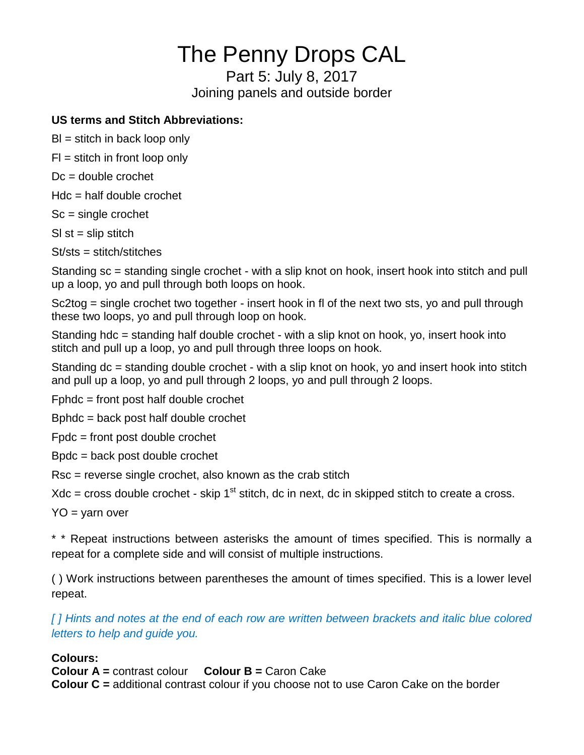# The Penny Drops CAL

Part 5: July 8, 2017 Joining panels and outside border

# **US terms and Stitch Abbreviations:**

 $BI =$  stitch in back loop only

 $FI =$  stitch in front loop only

 $Dc =$  double crochet

 $Hdc = half double crochet$ 

Sc = single crochet

 $SI$  st = slip stitch

St/sts = stitch/stitches

Standing sc = standing single crochet - with a slip knot on hook, insert hook into stitch and pull up a loop, yo and pull through both loops on hook.

Sc2tog = single crochet two together - insert hook in fl of the next two sts, yo and pull through these two loops, yo and pull through loop on hook.

Standing hdc = standing half double crochet - with a slip knot on hook, yo, insert hook into stitch and pull up a loop, yo and pull through three loops on hook.

Standing dc = standing double crochet - with a slip knot on hook, yo and insert hook into stitch and pull up a loop, yo and pull through 2 loops, yo and pull through 2 loops.

Fphdc = front post half double crochet

Bphdc = back post half double crochet

Fpdc = front post double crochet

Bpdc = back post double crochet

Rsc = reverse single crochet, also known as the crab stitch

 $Xdc = cross double crochet - skip 1<sup>st</sup> stitch, dc in next, dc in skipped stitch to create a cross.$ 

 $YO = varn over$ 

\* \* Repeat instructions between asterisks the amount of times specified. This is normally a repeat for a complete side and will consist of multiple instructions.

( ) Work instructions between parentheses the amount of times specified. This is a lower level repeat.

*[ ] Hints and notes at the end of each row are written between brackets and italic blue colored letters to help and guide you.*

# **Colours:**

**Colour A =** contrast colour **Colour B =** Caron Cake **Colour C =** additional contrast colour if you choose not to use Caron Cake on the border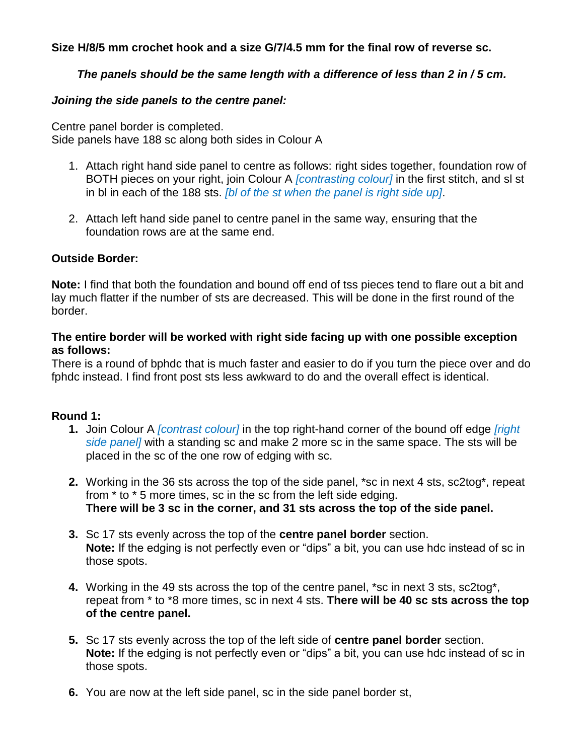**Size H/8/5 mm crochet hook and a size G/7/4.5 mm for the final row of reverse sc.** 

## *The panels should be the same length with a difference of less than 2 in / 5 cm.*

## *Joining the side panels to the centre panel:*

Centre panel border is completed. Side panels have 188 sc along both sides in Colour A

- 1. Attach right hand side panel to centre as follows: right sides together, foundation row of BOTH pieces on your right, join Colour A *[contrasting colour]* in the first stitch, and sl st in bl in each of the 188 sts. *[bl of the st when the panel is right side up]*.
- 2. Attach left hand side panel to centre panel in the same way, ensuring that the foundation rows are at the same end.

#### **Outside Border:**

**Note:** I find that both the foundation and bound off end of tss pieces tend to flare out a bit and lay much flatter if the number of sts are decreased. This will be done in the first round of the border.

## **The entire border will be worked with right side facing up with one possible exception as follows:**

There is a round of bphdc that is much faster and easier to do if you turn the piece over and do fphdc instead. I find front post sts less awkward to do and the overall effect is identical.

## **Round 1:**

- **1.** Join Colour A *[contrast colour]* in the top right-hand corner of the bound off edge *[right side panel]* with a standing sc and make 2 more sc in the same space. The sts will be placed in the sc of the one row of edging with sc.
- **2.** Working in the 36 sts across the top of the side panel, \*sc in next 4 sts, sc2tog\*, repeat from \* to \* 5 more times, sc in the sc from the left side edging. **There will be 3 sc in the corner, and 31 sts across the top of the side panel.**
- **3.** Sc 17 sts evenly across the top of the **centre panel border** section. **Note:** If the edging is not perfectly even or "dips" a bit, you can use hdc instead of sc in those spots.
- **4.** Working in the 49 sts across the top of the centre panel, \*sc in next 3 sts, sc2tog\*, repeat from \* to \*8 more times, sc in next 4 sts. **There will be 40 sc sts across the top of the centre panel.**
- **5.** Sc 17 sts evenly across the top of the left side of **centre panel border** section. **Note:** If the edging is not perfectly even or "dips" a bit, you can use hdc instead of sc in those spots.
- **6.** You are now at the left side panel, sc in the side panel border st,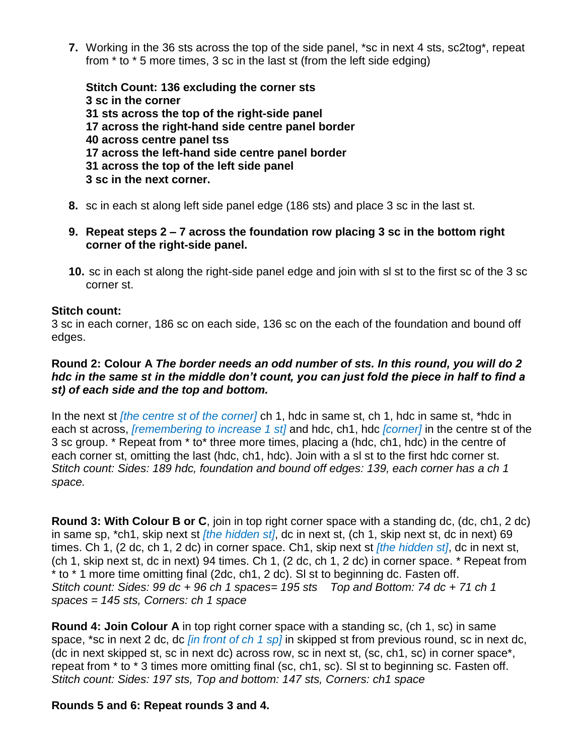**7.** Working in the 36 sts across the top of the side panel, \*sc in next 4 sts, sc2tog\*, repeat from \* to \* 5 more times, 3 sc in the last st (from the left side edging)

**Stitch Count: 136 excluding the corner sts 3 sc in the corner 31 sts across the top of the right-side panel 17 across the right-hand side centre panel border 40 across centre panel tss 17 across the left-hand side centre panel border 31 across the top of the left side panel 3 sc in the next corner.**

- **8.** sc in each st along left side panel edge (186 sts) and place 3 sc in the last st.
- **9. Repeat steps 2 – 7 across the foundation row placing 3 sc in the bottom right corner of the right-side panel.**
- **10.** sc in each st along the right-side panel edge and join with sl st to the first sc of the 3 sc corner st.

#### **Stitch count:**

3 sc in each corner, 186 sc on each side, 136 sc on the each of the foundation and bound off edges.

## **Round 2: Colour A** *The border needs an odd number of sts. In this round, you will do 2 hdc in the same st in the middle don't count, you can just fold the piece in half to find a st) of each side and the top and bottom.*

In the next st *[the centre st of the corner]* ch 1, hdc in same st, ch 1, hdc in same st, \*hdc in each st across, *[remembering to increase 1 st]* and hdc, ch1, hdc *[corner]* in the centre st of the 3 sc group. \* Repeat from \* to\* three more times, placing a (hdc, ch1, hdc) in the centre of each corner st, omitting the last (hdc, ch1, hdc). Join with a sl st to the first hdc corner st. *Stitch count: Sides: 189 hdc, foundation and bound off edges: 139, each corner has a ch 1 space.*

**Round 3: With Colour B or C**, join in top right corner space with a standing dc, (dc, ch1, 2 dc) in same sp, \*ch1, skip next st *[the hidden st]*, dc in next st, (ch 1, skip next st, dc in next) 69 times. Ch 1, (2 dc, ch 1, 2 dc) in corner space. Ch1, skip next st *[the hidden st]*, dc in next st, (ch 1, skip next st, dc in next) 94 times. Ch 1, (2 dc, ch 1, 2 dc) in corner space. \* Repeat from \* to \* 1 more time omitting final (2dc, ch1, 2 dc). Sl st to beginning dc. Fasten off. *Stitch count: Sides: 99 dc + 96 ch 1 spaces= 195 sts Top and Bottom: 74 dc + 71 ch 1 spaces = 145 sts, Corners: ch 1 space*

**Round 4: Join Colour A** in top right corner space with a standing sc, (ch 1, sc) in same space, \*sc in next 2 dc, dc *[in front of ch 1 sp]* in skipped st from previous round, sc in next dc, (dc in next skipped st, sc in next dc) across row, sc in next st, (sc, ch1, sc) in corner space\*, repeat from \* to \* 3 times more omitting final (sc, ch1, sc). Sl st to beginning sc. Fasten off. *Stitch count: Sides: 197 sts, Top and bottom: 147 sts, Corners: ch1 space*

#### **Rounds 5 and 6: Repeat rounds 3 and 4.**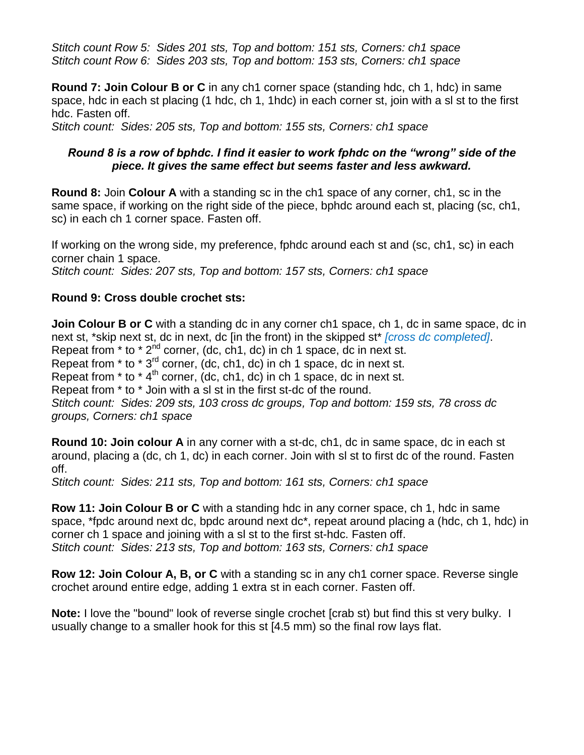*Stitch count Row 5: Sides 201 sts, Top and bottom: 151 sts, Corners: ch1 space Stitch count Row 6: Sides 203 sts, Top and bottom: 153 sts, Corners: ch1 space*

**Round 7: Join Colour B or C** in any ch1 corner space (standing hdc, ch 1, hdc) in same space, hdc in each st placing (1 hdc, ch 1, 1hdc) in each corner st, join with a sl st to the first hdc. Fasten off.

*Stitch count: Sides: 205 sts, Top and bottom: 155 sts, Corners: ch1 space*

#### *Round 8 is a row of bphdc. I find it easier to work fphdc on the "wrong" side of the piece. It gives the same effect but seems faster and less awkward.*

**Round 8:** Join **Colour A** with a standing sc in the ch1 space of any corner, ch1, sc in the same space, if working on the right side of the piece, bphdc around each st, placing (sc, ch1, sc) in each ch 1 corner space. Fasten off.

If working on the wrong side, my preference, fphdc around each st and (sc, ch1, sc) in each corner chain 1 space. *Stitch count: Sides: 207 sts, Top and bottom: 157 sts, Corners: ch1 space*

## **Round 9: Cross double crochet sts:**

**Join Colour B or C** with a standing dc in any corner ch1 space, ch 1, dc in same space, dc in next st, \*skip next st, dc in next, dc [in the front) in the skipped st\* *[cross dc completed]*. Repeat from  $*$  to  $*$   $2^{nd}$  corner, (dc, ch1, dc) in ch 1 space, dc in next st. Repeat from  $*$  to  $*$  3<sup>rd</sup> corner, (dc, ch1, dc) in ch 1 space, dc in next st. Repeat from  $*$  to  $*$  4<sup>th</sup> corner, (dc, ch1, dc) in ch 1 space, dc in next st. Repeat from \* to \* Join with a sl st in the first st-dc of the round. *Stitch count: Sides: 209 sts, 103 cross dc groups, Top and bottom: 159 sts, 78 cross dc groups, Corners: ch1 space*

**Round 10: Join colour A** in any corner with a st-dc, ch1, dc in same space, dc in each st around, placing a (dc, ch 1, dc) in each corner. Join with sl st to first dc of the round. Fasten off.

*Stitch count: Sides: 211 sts, Top and bottom: 161 sts, Corners: ch1 space*

**Row 11: Join Colour B or C** with a standing hdc in any corner space, ch 1, hdc in same space, \*fpdc around next dc, bpdc around next dc\*, repeat around placing a (hdc, ch 1, hdc) in corner ch 1 space and joining with a sl st to the first st-hdc. Fasten off. *Stitch count: Sides: 213 sts, Top and bottom: 163 sts, Corners: ch1 space*

**Row 12: Join Colour A, B, or C** with a standing sc in any ch1 corner space. Reverse single crochet around entire edge, adding 1 extra st in each corner. Fasten off.

**Note:** I love the "bound" look of reverse single crochet [crab st) but find this st very bulky. I usually change to a smaller hook for this st [4.5 mm) so the final row lays flat.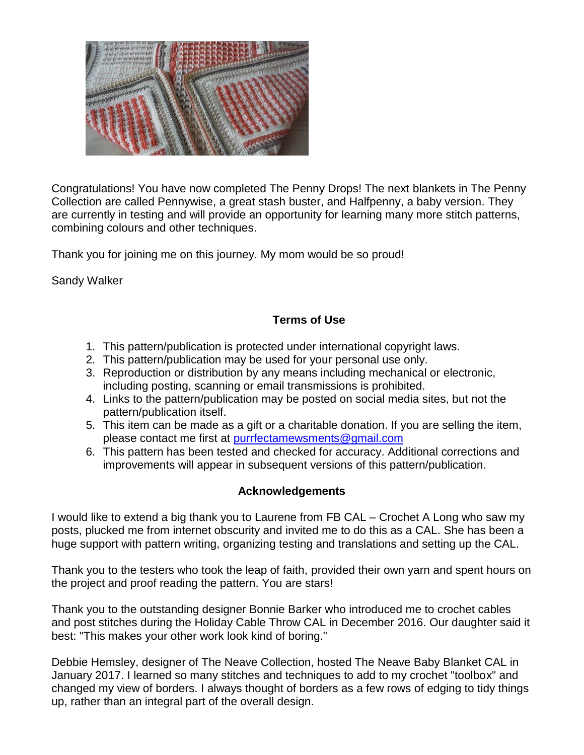

Congratulations! You have now completed The Penny Drops! The next blankets in The Penny Collection are called Pennywise, a great stash buster, and Halfpenny, a baby version. They are currently in testing and will provide an opportunity for learning many more stitch patterns, combining colours and other techniques.

Thank you for joining me on this journey. My mom would be so proud!

Sandy Walker

## **Terms of Use**

- 1. This pattern/publication is protected under international copyright laws.
- 2. This pattern/publication may be used for your personal use only.
- 3. Reproduction or distribution by any means including mechanical or electronic, including posting, scanning or email transmissions is prohibited.
- 4. Links to the pattern/publication may be posted on social media sites, but not the pattern/publication itself.
- 5. This item can be made as a gift or a charitable donation. If you are selling the item, please contact me first at [purrfectamewsments@gmail.com](mailto:purrfectamewsments@gmail.com)
- 6. This pattern has been tested and checked for accuracy. Additional corrections and improvements will appear in subsequent versions of this pattern/publication.

## **Acknowledgements**

I would like to extend a big thank you to Laurene from FB CAL – Crochet A Long who saw my posts, plucked me from internet obscurity and invited me to do this as a CAL. She has been a huge support with pattern writing, organizing testing and translations and setting up the CAL.

Thank you to the testers who took the leap of faith, provided their own yarn and spent hours on the project and proof reading the pattern. You are stars!

Thank you to the outstanding designer Bonnie Barker who introduced me to crochet cables and post stitches during the Holiday Cable Throw CAL in December 2016. Our daughter said it best: "This makes your other work look kind of boring."

Debbie Hemsley, designer of The Neave Collection, hosted The Neave Baby Blanket CAL in January 2017. I learned so many stitches and techniques to add to my crochet "toolbox" and changed my view of borders. I always thought of borders as a few rows of edging to tidy things up, rather than an integral part of the overall design.